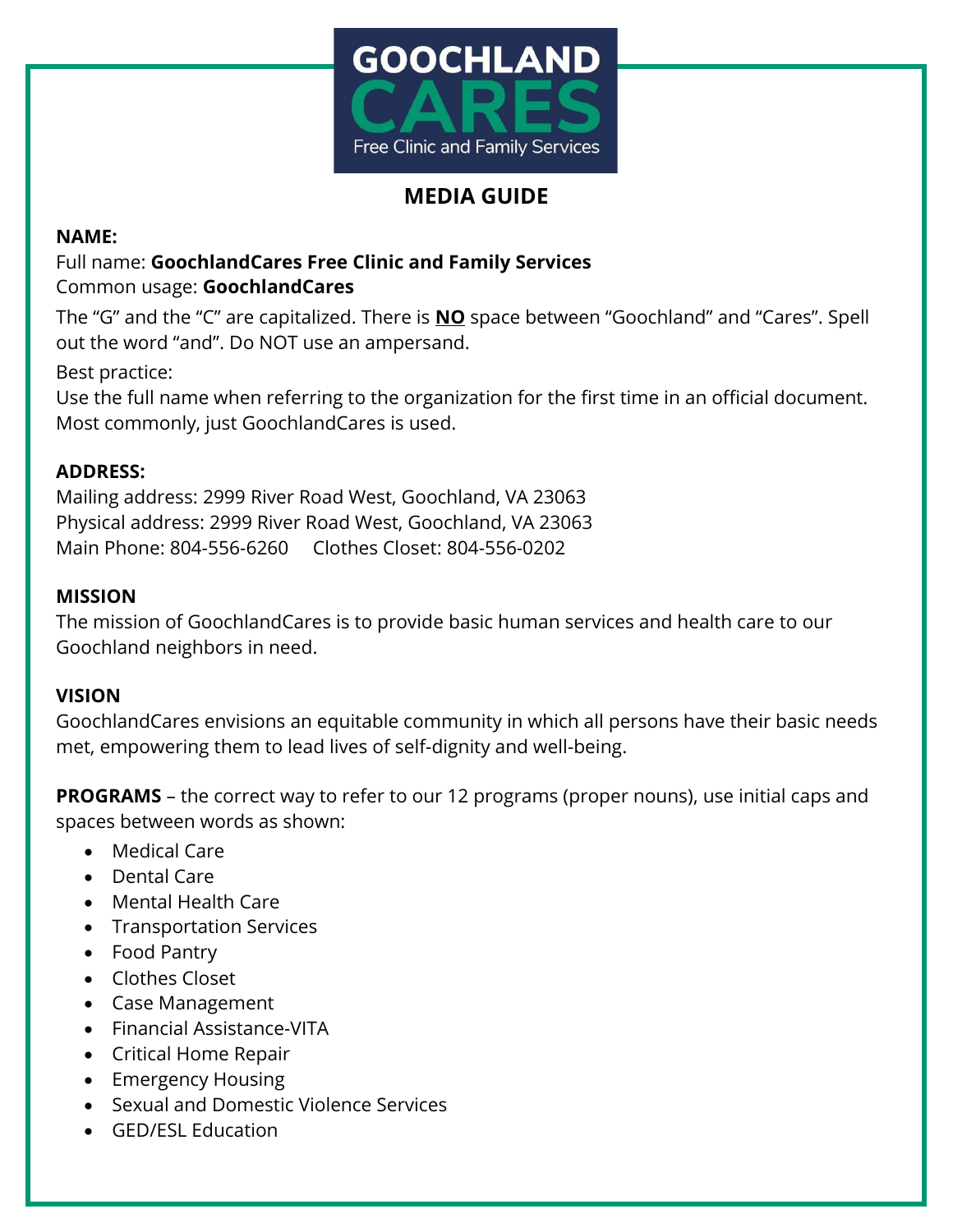

# **MEDIA GUIDE**

### **NAME:**

# Full name: **GoochlandCares Free Clinic and Family Services** Common usage: **GoochlandCares**

The "G" and the "C" are capitalized. There is **NO** space between "Goochland" and "Cares". Spell out the word "and". Do NOT use an ampersand.

Best practice:

Use the full name when referring to the organization for the first time in an official document. Most commonly, just GoochlandCares is used.

# **ADDRESS:**

Mailing address: 2999 River Road West, Goochland, VA 23063 Physical address: 2999 River Road West, Goochland, VA 23063 Main Phone: 804-556-6260 Clothes Closet: 804-556-0202

### **MISSION**

The mission of GoochlandCares is to provide basic human services and health care to our Goochland neighbors in need.

### **VISION**

GoochlandCares envisions an equitable community in which all persons have their basic needs met, empowering them to lead lives of self-dignity and well-being.

**PROGRAMS** – the correct way to refer to our 12 programs (proper nouns), use initial caps and spaces between words as shown:

- Medical Care
- Dental Care
- Mental Health Care
- Transportation Services
- Food Pantry
- Clothes Closet
- Case Management
- Financial Assistance-VITA
- Critical Home Repair
- Emergency Housing
- Sexual and Domestic Violence Services
- GED/ESL Education